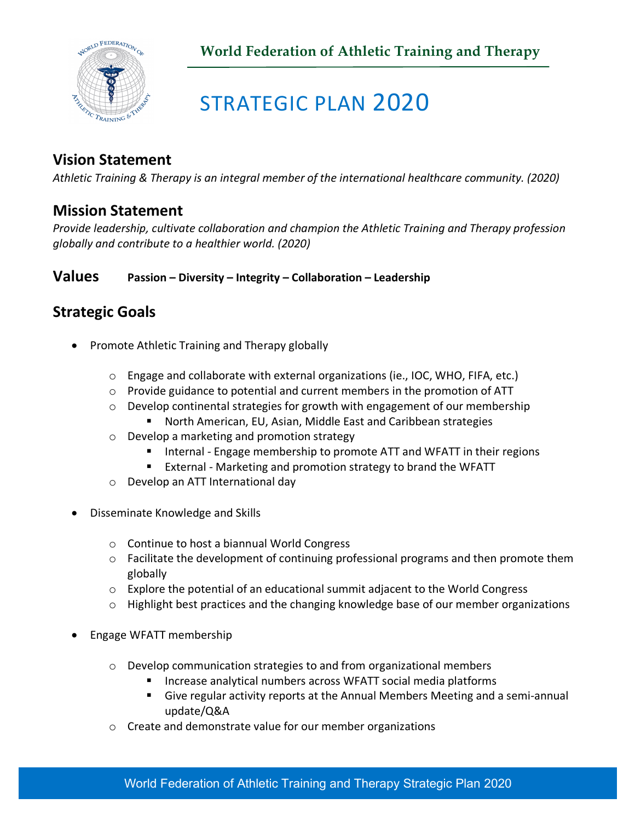

## STRATEGIC PLAN 2020

## **Vision Statement**

*Athletic Training & Therapy is an integral member of the international healthcare community. (2020)*

## **Mission Statement**

*Provide leadership, cultivate collaboration and champion the Athletic Training and Therapy profession globally and contribute to a healthier world. (2020)*

**Values Passion – Diversity – Integrity – Collaboration – Leadership**

## **Strategic Goals**

- Promote Athletic Training and Therapy globally
	- o Engage and collaborate with external organizations (ie., IOC, WHO, FIFA, etc.)
	- $\circ$  Provide guidance to potential and current members in the promotion of ATT
	- o Develop continental strategies for growth with engagement of our membership
		- § North American, EU, Asian, Middle East and Caribbean strategies
	- o Develop a marketing and promotion strategy
		- Internal Engage membership to promote ATT and WFATT in their regions
		- External Marketing and promotion strategy to brand the WFATT
	- o Develop an ATT International day
- Disseminate Knowledge and Skills
	- o Continue to host a biannual World Congress
	- o Facilitate the development of continuing professional programs and then promote them globally
	- o Explore the potential of an educational summit adjacent to the World Congress
	- o Highlight best practices and the changing knowledge base of our member organizations
- Engage WFATT membership
	- o Develop communication strategies to and from organizational members
		- Increase analytical numbers across WFATT social media platforms
		- Give regular activity reports at the Annual Members Meeting and a semi-annual update/Q&A
	- o Create and demonstrate value for our member organizations